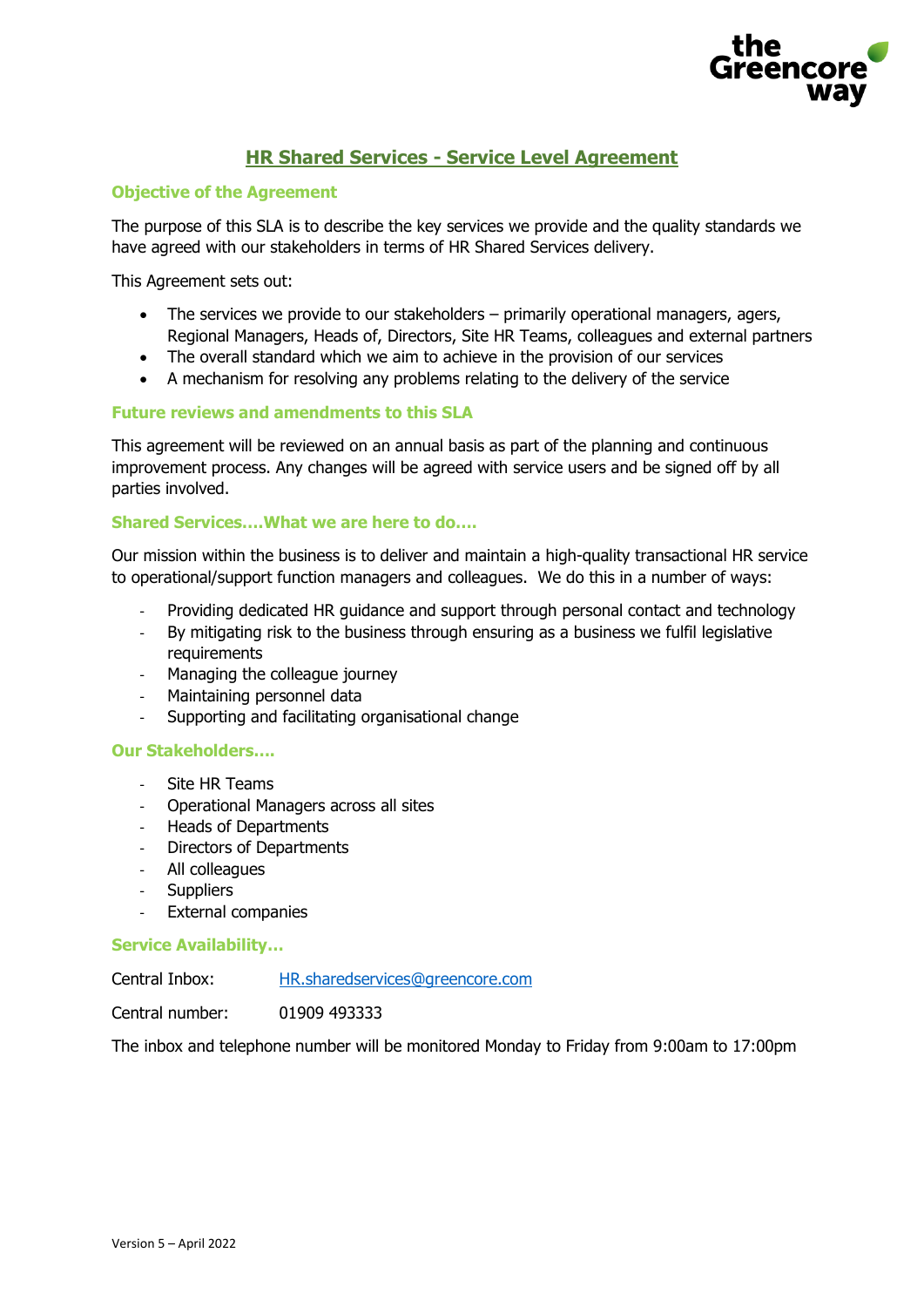

# **HR Shared Services - Service Level Agreement**

## **Objective of the Agreement**

The purpose of this SLA is to describe the key services we provide and the quality standards we have agreed with our stakeholders in terms of HR Shared Services delivery.

This Agreement sets out:

- The services we provide to our stakeholders primarily operational managers, agers, Regional Managers, Heads of, Directors, Site HR Teams, colleagues and external partners
- The overall standard which we aim to achieve in the provision of our services
- A mechanism for resolving any problems relating to the delivery of the service

## **Future reviews and amendments to this SLA**

This agreement will be reviewed on an annual basis as part of the planning and continuous improvement process. Any changes will be agreed with service users and be signed off by all parties involved.

## **Shared Services….What we are here to do….**

Our mission within the business is to deliver and maintain a high-quality transactional HR service to operational/support function managers and colleagues. We do this in a number of ways:

- Providing dedicated HR guidance and support through personal contact and technology
- By mitigating risk to the business through ensuring as a business we fulfil legislative requirements
- Managing the colleague journey
- Maintaining personnel data
- Supporting and facilitating organisational change

#### **Our Stakeholders….**

- Site HR Teams
- Operational Managers across all sites
- Heads of Departments
- Directors of Departments
- All colleagues
- Suppliers
- External companies

#### **Service Availability…**

Central Inbox: [HR.sharedservices@greencore.com](mailto:HR.sharedservices@greencore.com)

Central number: 01909 493333

The inbox and telephone number will be monitored Monday to Friday from 9:00am to 17:00pm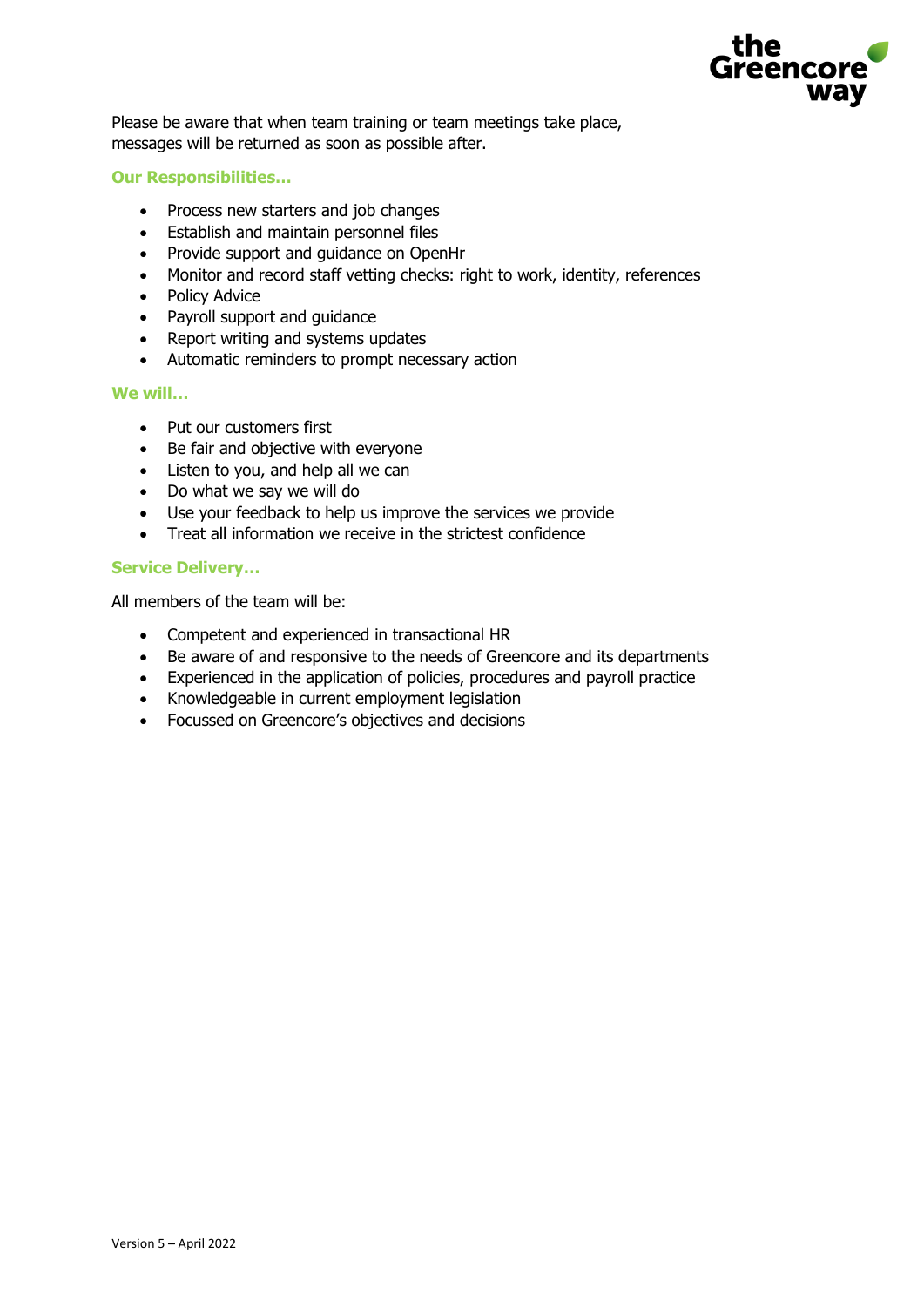

Please be aware that when team training or team meetings take place, messages will be returned as soon as possible after.

## **Our Responsibilities…**

- Process new starters and job changes
- Establish and maintain personnel files
- Provide support and guidance on OpenHr
- Monitor and record staff vetting checks: right to work, identity, references
- Policy Advice
- Payroll support and guidance
- Report writing and systems updates
- Automatic reminders to prompt necessary action

#### **We will…**

- Put our customers first
- Be fair and objective with everyone
- Listen to you, and help all we can
- Do what we say we will do
- Use your feedback to help us improve the services we provide
- Treat all information we receive in the strictest confidence

## **Service Delivery…**

All members of the team will be:

- Competent and experienced in transactional HR
- Be aware of and responsive to the needs of Greencore and its departments
- Experienced in the application of policies, procedures and payroll practice
- Knowledgeable in current employment legislation
- Focussed on Greencore's objectives and decisions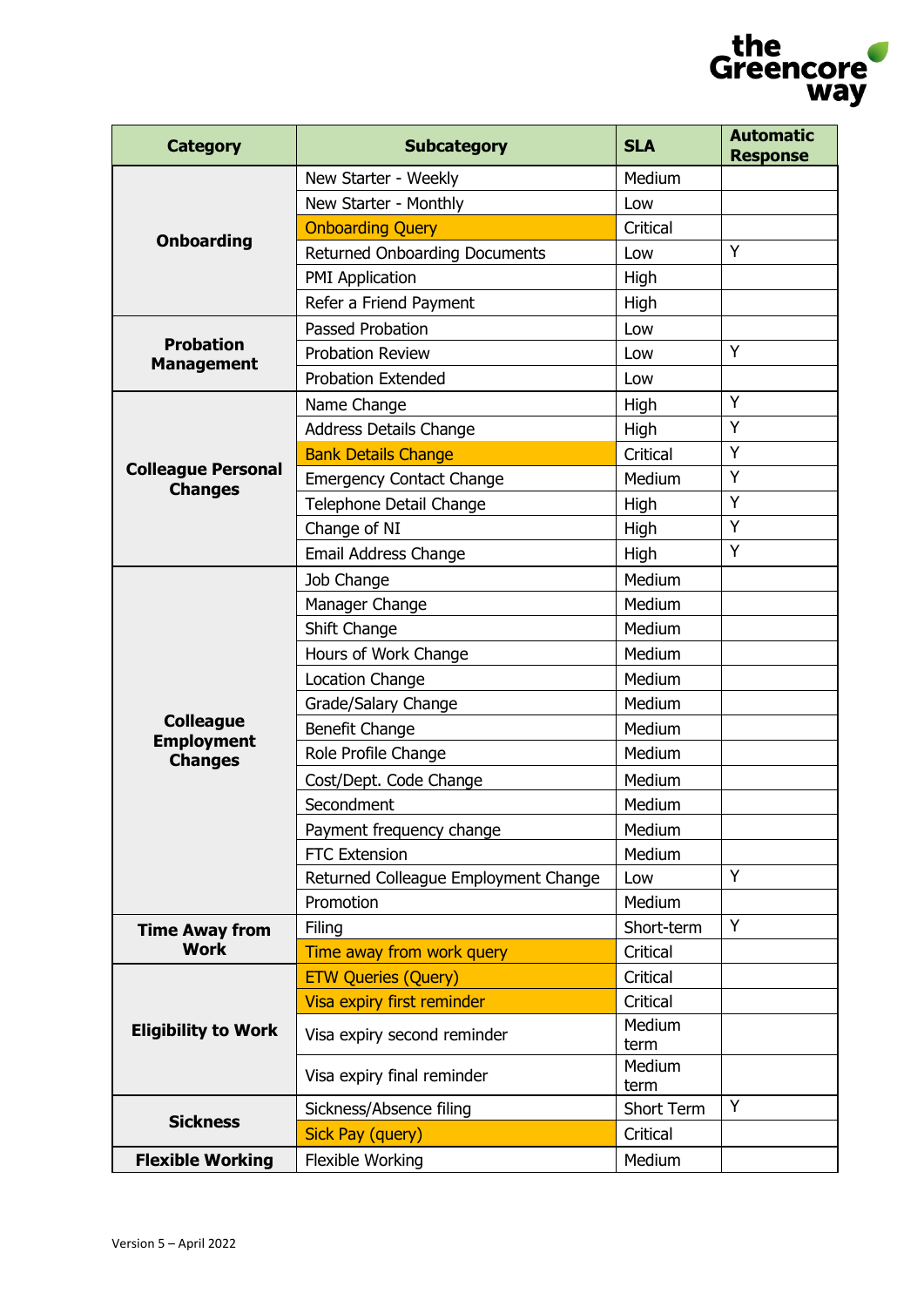

| <b>Category</b>                             | <b>Subcategory</b>                   | <b>SLA</b>     | <b>Automatic</b><br><b>Response</b> |
|---------------------------------------------|--------------------------------------|----------------|-------------------------------------|
|                                             | New Starter - Weekly                 | Medium         |                                     |
| <b>Onboarding</b>                           | New Starter - Monthly                | Low            |                                     |
|                                             | <b>Onboarding Query</b>              | Critical       |                                     |
|                                             | <b>Returned Onboarding Documents</b> | Low            | Y                                   |
|                                             | <b>PMI Application</b>               | High           |                                     |
|                                             | Refer a Friend Payment               | High           |                                     |
|                                             | Passed Probation                     | Low            |                                     |
| <b>Probation</b><br><b>Management</b>       | <b>Probation Review</b>              | Low            | Y                                   |
|                                             | <b>Probation Extended</b>            | Low            |                                     |
|                                             | Name Change                          | High           | Y                                   |
|                                             | <b>Address Details Change</b>        | High           | Y                                   |
|                                             | <b>Bank Details Change</b>           | Critical       | Y                                   |
| <b>Colleague Personal</b><br><b>Changes</b> | <b>Emergency Contact Change</b>      | Medium         | Y                                   |
|                                             | Telephone Detail Change              | High           | Y                                   |
|                                             | Change of NI                         | High           | Y                                   |
|                                             | Email Address Change                 | High           | Y                                   |
|                                             | Job Change                           | Medium         |                                     |
|                                             | Manager Change                       | Medium         |                                     |
|                                             | Shift Change                         | Medium         |                                     |
|                                             | Hours of Work Change                 | Medium         |                                     |
|                                             | <b>Location Change</b>               | Medium         |                                     |
|                                             | Grade/Salary Change                  | Medium         |                                     |
| <b>Colleague</b><br><b>Employment</b>       | Benefit Change                       | Medium         |                                     |
| <b>Changes</b>                              | Role Profile Change                  | Medium         |                                     |
|                                             | Cost/Dept. Code Change               | Medium         |                                     |
|                                             | Secondment                           | Medium         |                                     |
|                                             | Payment frequency change             | Medium         |                                     |
|                                             | <b>FTC Extension</b>                 | Medium         |                                     |
|                                             | Returned Colleague Employment Change | Low            | Y                                   |
|                                             | Promotion                            | Medium         |                                     |
| <b>Time Away from</b>                       | Filing                               | Short-term     | Υ                                   |
| <b>Work</b>                                 | Time away from work query            | Critical       |                                     |
|                                             | <b>ETW Queries (Query)</b>           | Critical       |                                     |
|                                             | Visa expiry first reminder           | Critical       |                                     |
| <b>Eligibility to Work</b>                  | Visa expiry second reminder          | Medium<br>term |                                     |
|                                             | Visa expiry final reminder           | Medium<br>term |                                     |
|                                             | Sickness/Absence filing              | Short Term     | Y                                   |
| <b>Sickness</b>                             | <b>Sick Pay (query)</b>              | Critical       |                                     |
| <b>Flexible Working</b>                     | Flexible Working                     | Medium         |                                     |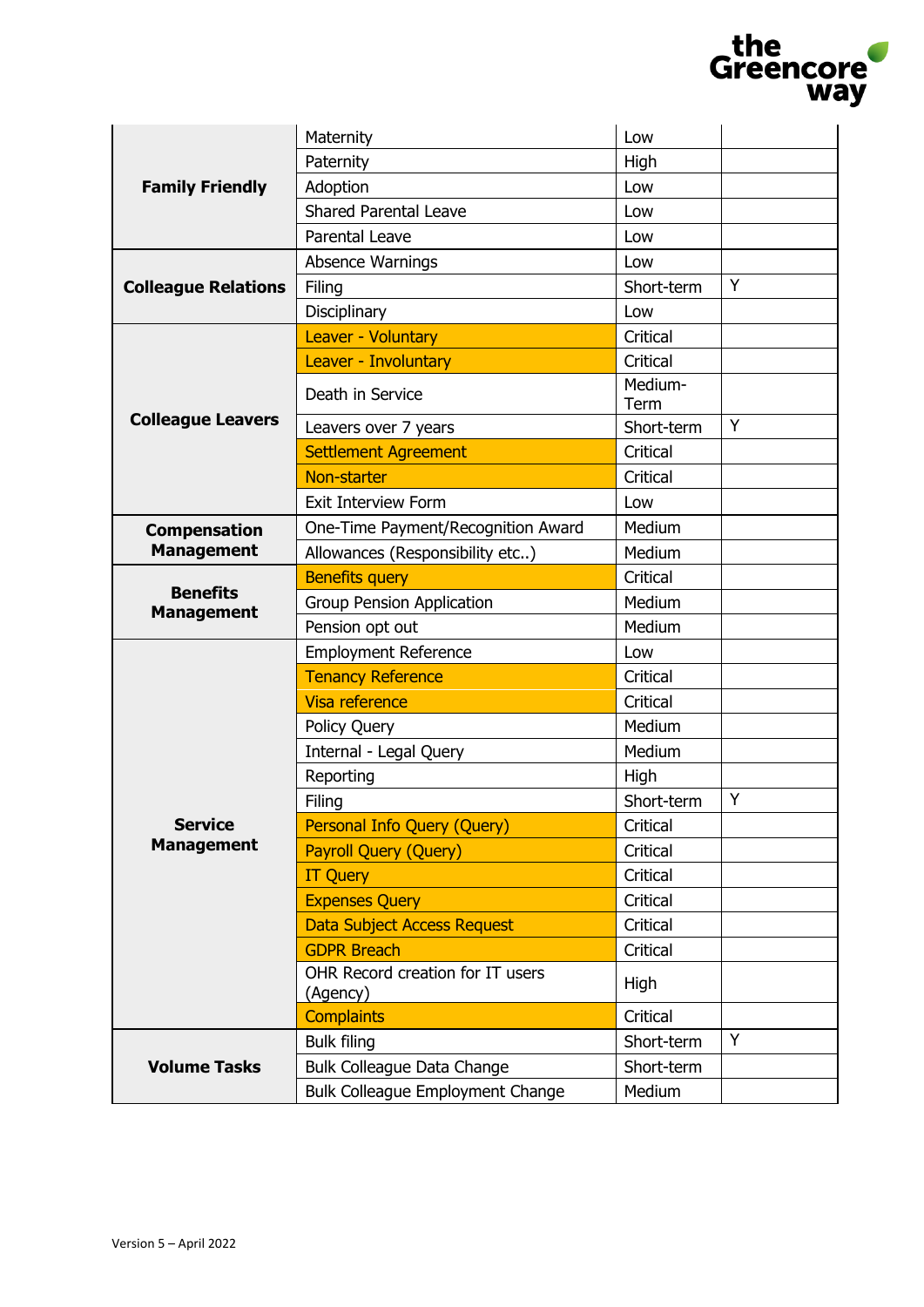|                                      |                                              |                 | the<br>Greencore |
|--------------------------------------|----------------------------------------------|-----------------|------------------|
|                                      |                                              |                 | <b>way</b>       |
|                                      | Maternity                                    | Low             |                  |
|                                      | Paternity                                    | High            |                  |
| <b>Family Friendly</b>               | Adoption                                     | Low             |                  |
|                                      | <b>Shared Parental Leave</b>                 | Low             |                  |
|                                      | Parental Leave                               | Low             |                  |
|                                      | Absence Warnings                             | Low             |                  |
| <b>Colleague Relations</b>           | Filing                                       | Short-term      | Y                |
|                                      | Disciplinary                                 | Low             |                  |
|                                      | Leaver - Voluntary                           | Critical        |                  |
|                                      | Leaver - Involuntary                         | Critical        |                  |
|                                      | Death in Service                             | Medium-<br>Term |                  |
| <b>Colleague Leavers</b>             | Leavers over 7 years                         | Short-term      | Y                |
|                                      | <b>Settlement Agreement</b>                  | Critical        |                  |
|                                      | Non-starter                                  | Critical        |                  |
|                                      | <b>Exit Interview Form</b>                   | Low             |                  |
| <b>Compensation</b>                  | One-Time Payment/Recognition Award           | Medium          |                  |
| <b>Management</b>                    | Allowances (Responsibility etc)              | Medium          |                  |
|                                      | <b>Benefits query</b>                        | Critical        |                  |
| <b>Benefits</b><br><b>Management</b> | <b>Group Pension Application</b>             | Medium          |                  |
|                                      | Pension opt out                              | Medium          |                  |
|                                      | <b>Employment Reference</b>                  | Low             |                  |
|                                      | <b>Tenancy Reference</b>                     | Critical        |                  |
|                                      | Visa reference                               | Critical        |                  |
|                                      | Policy Query                                 | Medium          |                  |
|                                      | Internal - Legal Query                       | Medium          |                  |
|                                      | Reporting                                    | High            |                  |
|                                      | Filing                                       | Short-term      | Y                |
| <b>Service</b>                       | Personal Info Query (Query)                  | Critical        |                  |
| <b>Management</b>                    | <b>Payroll Query (Query)</b>                 | Critical        |                  |
|                                      | <b>IT Query</b>                              | Critical        |                  |
|                                      | <b>Expenses Query</b>                        | Critical        |                  |
|                                      | <b>Data Subject Access Request</b>           | Critical        |                  |
|                                      | <b>GDPR Breach</b>                           | Critical        |                  |
|                                      | OHR Record creation for IT users<br>(Agency) | High            |                  |
|                                      | <b>Complaints</b>                            | Critical        |                  |
| <b>Volume Tasks</b>                  | <b>Bulk filing</b>                           | Short-term      | Y                |
|                                      | <b>Bulk Colleague Data Change</b>            | Short-term      |                  |
|                                      | <b>Bulk Colleague Employment Change</b>      | Medium          |                  |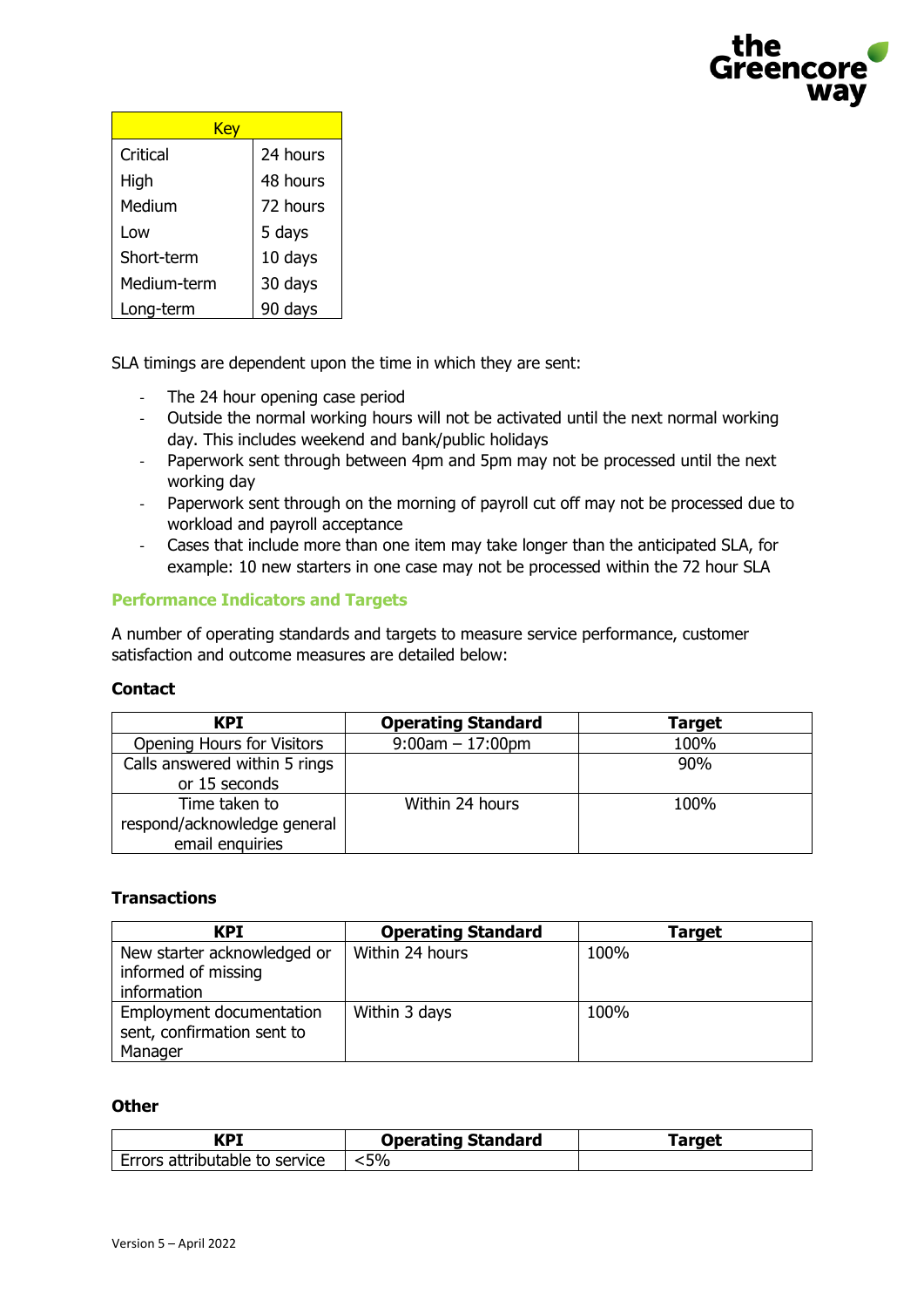

| Kev         |          |  |
|-------------|----------|--|
| Critical    | 24 hours |  |
| High        | 48 hours |  |
| Medium      | 72 hours |  |
| Low         | 5 days   |  |
| Short-term  | 10 days  |  |
| Medium-term | 30 days  |  |
| Long-term   | 90 days  |  |

SLA timings are dependent upon the time in which they are sent:

- The 24 hour opening case period
- Outside the normal working hours will not be activated until the next normal working day. This includes weekend and bank/public holidays
- Paperwork sent through between 4pm and 5pm may not be processed until the next working day
- Paperwork sent through on the morning of payroll cut off may not be processed due to workload and payroll acceptance
- Cases that include more than one item may take longer than the anticipated SLA, for example: 10 new starters in one case may not be processed within the 72 hour SLA

# **Performance Indicators and Targets**

A number of operating standards and targets to measure service performance, customer satisfaction and outcome measures are detailed below:

# **Contact**

| KPI                                                             | <b>Operating Standard</b> | <b>Target</b> |
|-----------------------------------------------------------------|---------------------------|---------------|
| <b>Opening Hours for Visitors</b>                               | $9:00am - 17:00pm$        | 100%          |
| Calls answered within 5 rings<br>or 15 seconds                  |                           | 90%           |
| Time taken to<br>respond/acknowledge general<br>email enquiries | Within 24 hours           | 100%          |

# **Transactions**

| <b>KPI</b>                                                        | <b>Operating Standard</b> | Target |
|-------------------------------------------------------------------|---------------------------|--------|
| New starter acknowledged or<br>informed of missing<br>information | Within 24 hours           | 100%   |
| Employment documentation<br>sent, confirmation sent to<br>Manager | Within 3 days             | 100%   |

#### **Other**

| KPI                            | <b>Operating Standard</b> | Target |
|--------------------------------|---------------------------|--------|
| Errors attributable to service | $\leq 5\%$                |        |